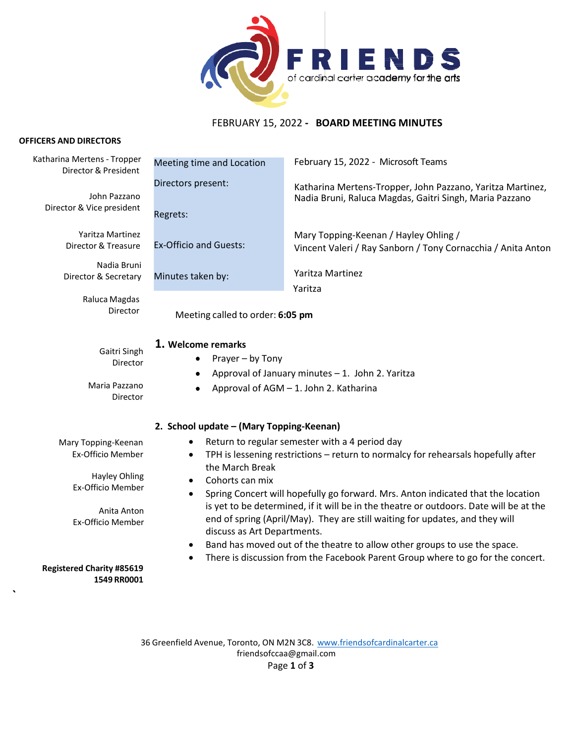

# FEBRUARY 15, 2022 **- BOARD MEETING MINUTES**

#### **OFFICERS AND DIRECTORS**

**`**

| Katharina Mertens - Tropper<br>Director & President              | Meeting time and Location                                                                                                                                                                                                                                                                              | February 15, 2022 - Microsoft Teams                                                                                   |
|------------------------------------------------------------------|--------------------------------------------------------------------------------------------------------------------------------------------------------------------------------------------------------------------------------------------------------------------------------------------------------|-----------------------------------------------------------------------------------------------------------------------|
| John Pazzano<br>Director & Vice president                        | Directors present:<br>Regrets:                                                                                                                                                                                                                                                                         | Katharina Mertens-Tropper, John Pazzano, Yaritza Martinez,<br>Nadia Bruni, Raluca Magdas, Gaitri Singh, Maria Pazzano |
| Yaritza Martinez<br>Director & Treasure                          | <b>Ex-Officio and Guests:</b>                                                                                                                                                                                                                                                                          | Mary Topping-Keenan / Hayley Ohling /<br>Vincent Valeri / Ray Sanborn / Tony Cornacchia / Anita Anton                 |
| Nadia Bruni<br>Director & Secretary                              | Minutes taken by:                                                                                                                                                                                                                                                                                      | Yaritza Martinez<br>Yaritza                                                                                           |
| Raluca Magdas<br>Director                                        | Meeting called to order: 6:05 pm                                                                                                                                                                                                                                                                       |                                                                                                                       |
| Gaitri Singh<br>Director<br>Maria Pazzano<br>Director            | 1. Welcome remarks<br>Prayer - by Tony<br>Approval of January minutes - 1. John 2. Yaritza<br>Approval of AGM - 1. John 2. Katharina                                                                                                                                                                   |                                                                                                                       |
|                                                                  | 2. School update - (Mary Topping-Keenan)                                                                                                                                                                                                                                                               |                                                                                                                       |
| Mary Topping-Keenan<br>Ex-Officio Member<br><b>Hayley Ohling</b> | Return to regular semester with a 4 period day<br>TPH is lessening restrictions - return to normalcy for rehearsals hopefully after<br>$\bullet$<br>the March Break<br>Cohorts can mix<br>$\bullet$                                                                                                    |                                                                                                                       |
| <b>Ex-Officio Member</b><br>Anita Anton<br>Ex-Officio Member     | Spring Concert will hopefully go forward. Mrs. Anton indicated that the location<br>$\bullet$<br>is yet to be determined, if it will be in the theatre or outdoors. Date will be at the<br>end of spring (April/May). They are still waiting for updates, and they will<br>discuss as Art Departments. |                                                                                                                       |
| <b>Registered Charity #85619</b><br>1549 RR0001                  | Band has moved out of the theatre to allow other groups to use the space.<br>$\bullet$<br>There is discussion from the Facebook Parent Group where to go for the concert.                                                                                                                              |                                                                                                                       |

36 Greenfield Avenue, Toronto, ON M2N 3C8. [www.friendsofcardinalcarter.ca](http://www.friendsofcardinalcarter.ca/) [friendsofccaa@gmail.com](mailto:friendsofccaa@gmail.com) Page **1** of **3**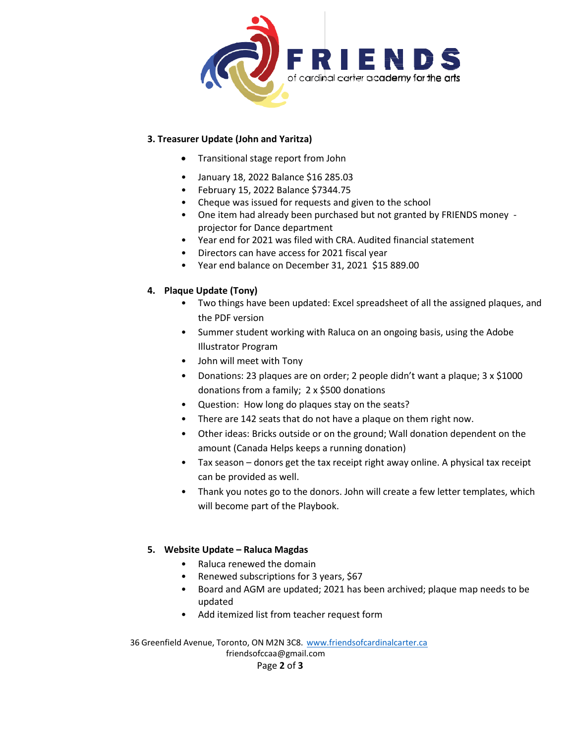

### **3. Treasurer Update (John and Yaritza)**

- Transitional stage report from John
- January 18, 2022 Balance \$16 285.03
- February 15, 2022 Balance \$7344.75
- Cheque was issued for requests and given to the school
- One item had already been purchased but not granted by FRIENDS money projector for Dance department
- Year end for 2021 was filed with CRA. Audited financial statement
- Directors can have access for 2021 fiscal year
- Year end balance on December 31, 2021 \$15 889.00

## **4. Plaque Update (Tony)**

- Two things have been updated: Excel spreadsheet of all the assigned plaques, and the PDF version
- Summer student working with Raluca on an ongoing basis, using the Adobe Illustrator Program
- John will meet with Tony
- Donations: 23 plaques are on order; 2 people didn't want a plaque; 3 x \$1000 donations from a family; 2 x \$500 donations
- Question: How long do plaques stay on the seats?
- There are 142 seats that do not have a plaque on them right now.
- Other ideas: Bricks outside or on the ground; Wall donation dependent on the amount (Canada Helps keeps a running donation)
- Tax season donors get the tax receipt right away online. A physical tax receipt can be provided as well.
- Thank you notes go to the donors. John will create a few letter templates, which will become part of the Playbook.

### **5. Website Update – Raluca Magdas**

- Raluca renewed the domain
- Renewed subscriptions for 3 years, \$67
- Board and AGM are updated; 2021 has been archived; plaque map needs to be updated
- Add itemized list from teacher request form

36 Greenfield Avenue, Toronto, ON M2N 3C8. [www.friendsofcardinalcarter.ca](http://www.friendsofcardinalcarter.ca/) [friendsofccaa@gmail.com](mailto:friendsofccaa@gmail.com) Page **2** of **3**